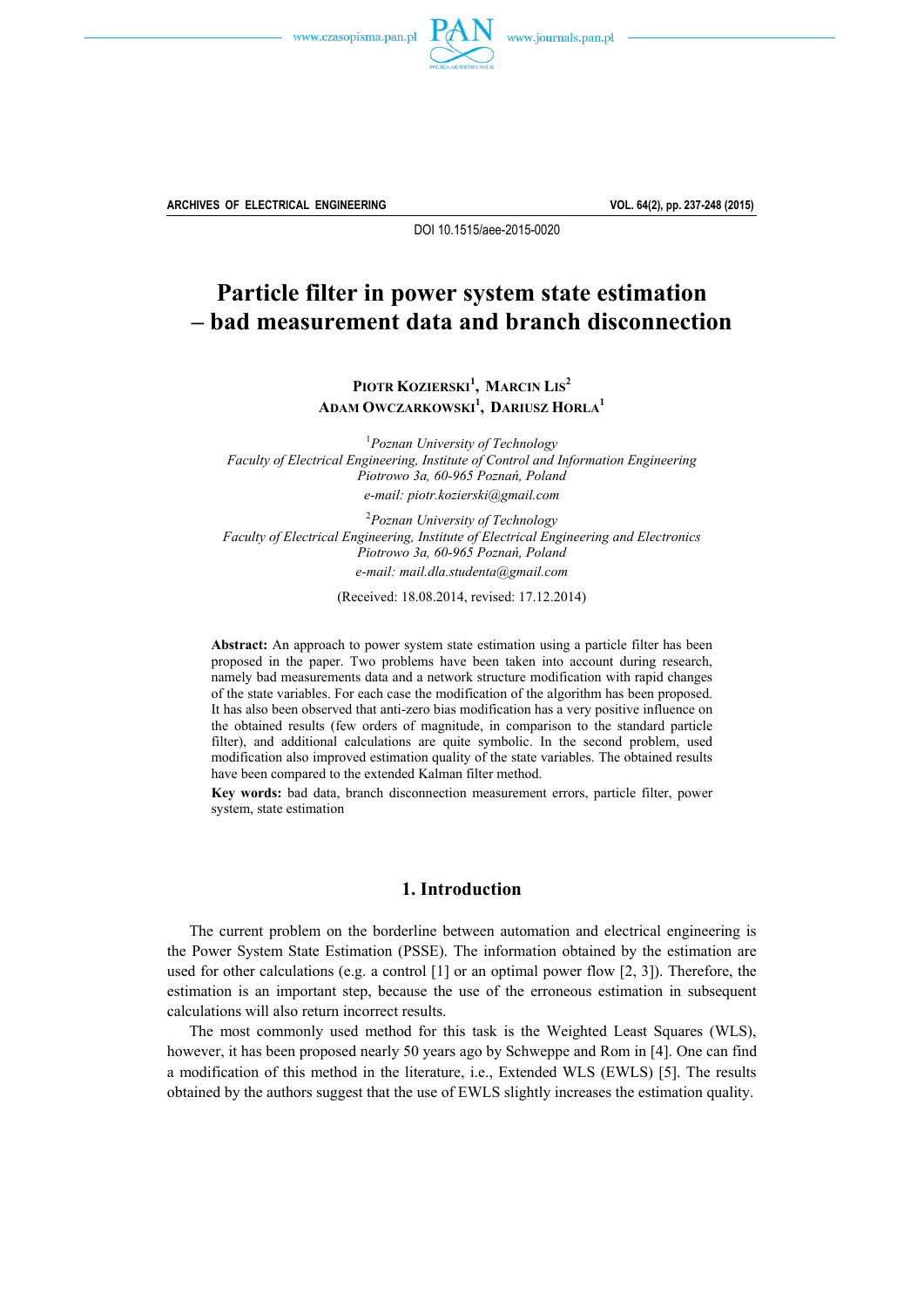



**ARCHIVES OF ELECTRICAL ENGINEERING VOL. 64(2), pp. 237-248 (2015)**

DOI 10.1515/aee-2015-0020

# **Particle filter in power system state estimation – bad measurement data and branch disconnection**

**PIOTR KOZIERSKI<sup>1</sup> , MARCIN LIS<sup>2</sup> ADAM OWCZARKOWSKI<sup>1</sup> , DARIUSZ HORLA1**

1 *Poznan University of Technology Faculty of Electrical Engineering, Institute of Control and Information Engineering Piotrowo 3a, 60-965 Poznań, Poland e-mail: piotr.kozierski@gmail.com* 

2 *Poznan University of Technology Faculty of Electrical Engineering, Institute of Electrical Engineering and Electronics Piotrowo 3a, 60-965 Poznań, Poland e-mail: mail.dla.studenta@gmail.com* 

(Received: 18.08.2014, revised: 17.12.2014)

**Abstract:** An approach to power system state estimation using a particle filter has been proposed in the paper. Two problems have been taken into account during research, namely bad measurements data and a network structure modification with rapid changes of the state variables. For each case the modification of the algorithm has been proposed. It has also been observed that anti-zero bias modification has a very positive influence on the obtained results (few orders of magnitude, in comparison to the standard particle filter), and additional calculations are quite symbolic. In the second problem, used modification also improved estimation quality of the state variables. The obtained results have been compared to the extended Kalman filter method.

**Key words:** bad data, branch disconnection measurement errors, particle filter, power system, state estimation

## **1. Introduction**

 The current problem on the borderline between automation and electrical engineering is the Power System State Estimation (PSSE). The information obtained by the estimation are used for other calculations (e.g. a control  $[1]$  or an optimal power flow  $[2, 3]$ ). Therefore, the estimation is an important step, because the use of the erroneous estimation in subsequent calculations will also return incorrect results.

 The most commonly used method for this task is the Weighted Least Squares (WLS), however, it has been proposed nearly 50 years ago by Schweppe and Rom in [4]. One can find a modification of this method in the literature, i.e., Extended WLS (EWLS) [5]. The results obtained by the authors suggest that the use of EWLS slightly increases the estimation quality.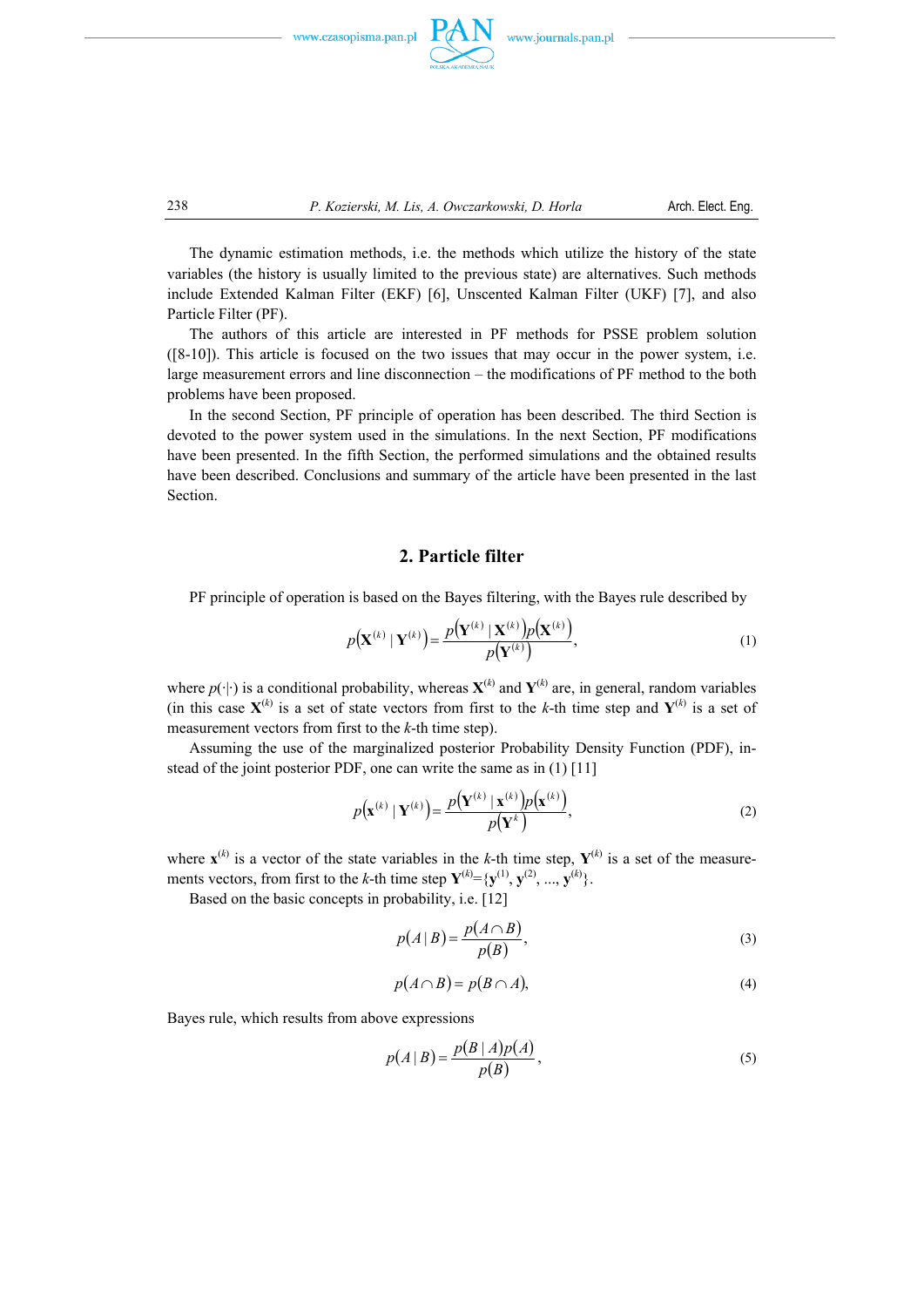





 The dynamic estimation methods, i.e. the methods which utilize the history of the state variables (the history is usually limited to the previous state) are alternatives. Such methods include Extended Kalman Filter (EKF) [6], Unscented Kalman Filter (UKF) [7], and also Particle Filter (PF).

 The authors of this article are interested in PF methods for PSSE problem solution ([8-10]). This article is focused on the two issues that may occur in the power system, i.e. large measurement errors and line disconnection – the modifications of PF method to the both problems have been proposed.

 In the second Section, PF principle of operation has been described. The third Section is devoted to the power system used in the simulations. In the next Section, PF modifications have been presented. In the fifth Section, the performed simulations and the obtained results have been described. Conclusions and summary of the article have been presented in the last Section.

## **2. Particle filter**

PF principle of operation is based on the Bayes filtering, with the Bayes rule described by

$$
p(\mathbf{X}^{(k)} | \mathbf{Y}^{(k)}) = \frac{p(\mathbf{Y}^{(k)} | \mathbf{X}^{(k)}) p(\mathbf{X}^{(k)})}{p(\mathbf{Y}^{(k)})},
$$
(1)

where  $p(\cdot|\cdot)$  is a conditional probability, whereas  $\mathbf{X}^{(k)}$  and  $\mathbf{Y}^{(k)}$  are, in general, random variables (in this case  $X^{(k)}$  is a set of state vectors from first to the *k*-th time step and  $Y^{(k)}$  is a set of measurement vectors from first to the *k*-th time step).

 Assuming the use of the marginalized posterior Probability Density Function (PDF), instead of the joint posterior PDF, one can write the same as in (1) [11]

$$
p(\mathbf{x}^{(k)} | \mathbf{Y}^{(k)}) = \frac{p(\mathbf{Y}^{(k)} | \mathbf{x}^{(k)}) p(\mathbf{x}^{(k)})}{p(\mathbf{Y}^k)},
$$
(2)

where  $\mathbf{x}^{(k)}$  is a vector of the state variables in the *k*-th time step,  $\mathbf{Y}^{(k)}$  is a set of the measurements vectors, from first to the *k*-th time step  $\mathbf{Y}^{(k)} = {\mathbf{y}^{(1)}}, \mathbf{y}^{(2)}, ..., \mathbf{y}^{(k)}$ .

Based on the basic concepts in probability, i.e. [12]

$$
p(A \mid B) = \frac{p(A \cap B)}{p(B)},
$$
\n(3)

$$
p(A \cap B) = p(B \cap A), \tag{4}
$$

Bayes rule, which results from above expressions

$$
p(A \mid B) = \frac{p(B \mid A)p(A)}{p(B)},\tag{5}
$$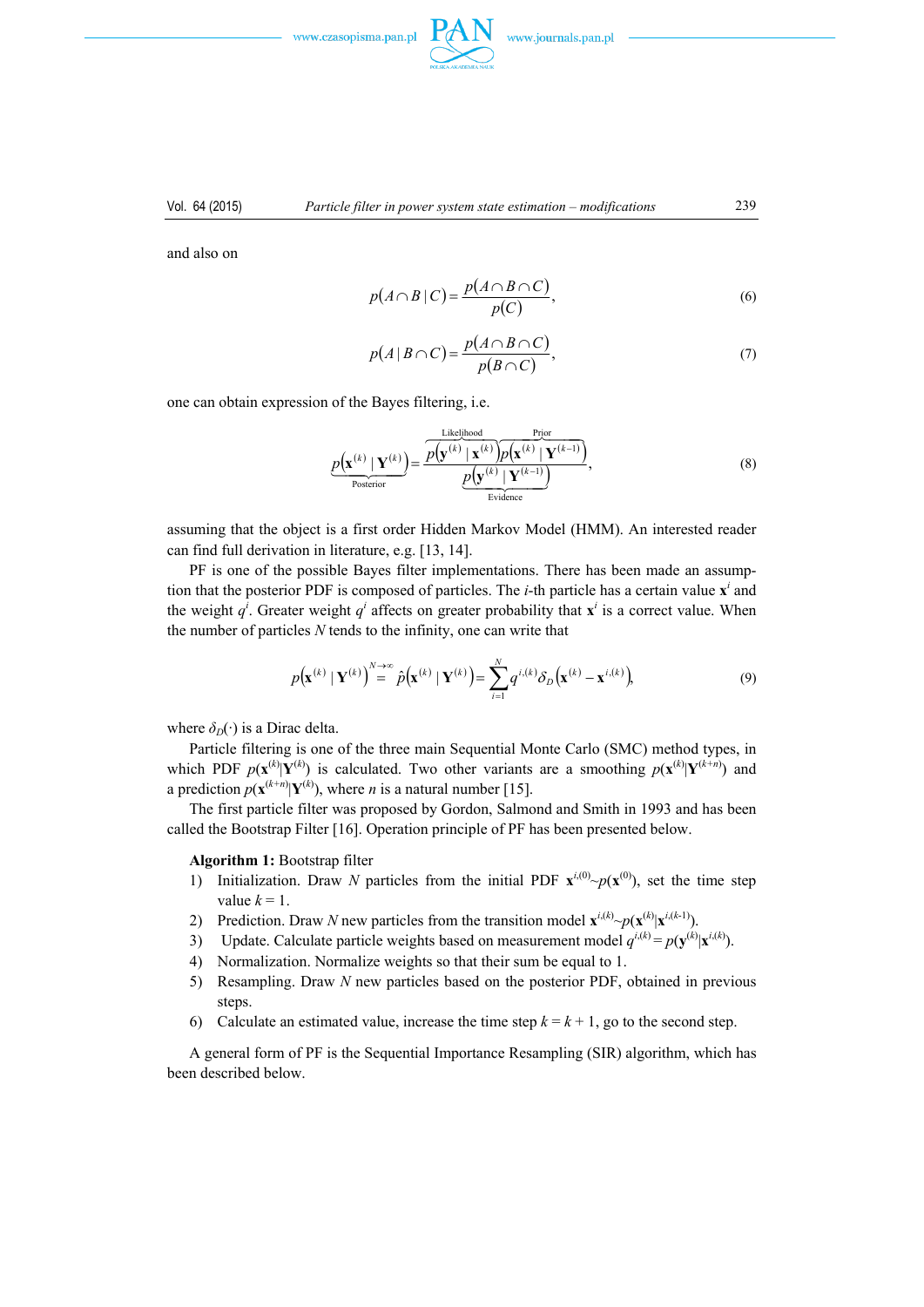

and also on

$$
p(A \cap B \mid C) = \frac{p(A \cap B \cap C)}{p(C)},
$$
\n<sup>(6)</sup>

$$
p(A|B \cap C) = \frac{p(A \cap B \cap C)}{p(B \cap C)},
$$
\n<sup>(7)</sup>

one can obtain expression of the Bayes filtering, i.e.

$$
\underbrace{p(\mathbf{x}^{(k)} \mid \mathbf{Y}^{(k)})}_{\text{Posterior}} = \frac{\overbrace{p(\mathbf{y}^{(k)} \mid \mathbf{x}^{(k)}) p(\mathbf{x}^{(k)} \mid \mathbf{Y}^{(k-1)})}^{\text{Prior}}}{\underbrace{p(\mathbf{y}^{(k)} \mid \mathbf{Y}^{(k-1)})}_{\text{Evidence}}},
$$
\n(8)

assuming that the object is a first order Hidden Markov Model (HMM). An interested reader can find full derivation in literature, e.g. [13, 14].

 PF is one of the possible Bayes filter implementations. There has been made an assumption that the posterior PDF is composed of particles. The  $i$ -th particle has a certain value  $\mathbf{x}^i$  and the weight  $q^i$ . Greater weight  $q^i$  affects on greater probability that  $\mathbf{x}^i$  is a correct value. When the number of particles *N* tends to the infinity, one can write that

$$
p(\mathbf{x}^{(k)} | \mathbf{Y}^{(k)}) = \hat{p}(\mathbf{x}^{(k)} | \mathbf{Y}^{(k)}) = \sum_{i=1}^{N} q^{i,(k)} \delta_D(\mathbf{x}^{(k)} - \mathbf{x}^{i,(k)}),
$$
(9)

where  $\delta_D(\cdot)$  is a Dirac delta.

 Particle filtering is one of the three main Sequential Monte Carlo (SMC) method types, in which PDF  $p(\mathbf{x}^{(k)} | \mathbf{Y}^{(k)})$  is calculated. Two other variants are a smoothing  $p(\mathbf{x}^{(k)} | \mathbf{Y}^{(k+n)})$  and a prediction  $p(\mathbf{x}^{(k+n)}|\mathbf{Y}^{(k)})$ , where *n* is a natural number [15].

 The first particle filter was proposed by Gordon, Salmond and Smith in 1993 and has been called the Bootstrap Filter [16]. Operation principle of PF has been presented below.

 **Algorithm 1:** Bootstrap filter

- 1) Initialization. Draw *N* particles from the initial PDF  $\mathbf{x}^{i,(0)} \sim p(\mathbf{x}^{(0)})$ , set the time step value  $k = 1$ .
- 2) Prediction. Draw *N* new particles from the transition model  $\mathbf{x}^{i,(k)} \sim p(\mathbf{x}^{(k)} | \mathbf{x}^{i,(k-1)})$ .
- 3) Update. Calculate particle weights based on measurement model  $q^{i,(k)} = p(\mathbf{y}^{(k)}|\mathbf{x}^{i,(k)})$ .
- 4) Normalization. Normalize weights so that their sum be equal to 1.
- 5) Resampling. Draw *N* new particles based on the posterior PDF, obtained in previous steps.
- 6) Calculate an estimated value, increase the time step  $k = k + 1$ , go to the second step.

 A general form of PF is the Sequential Importance Resampling (SIR) algorithm, which has been described below.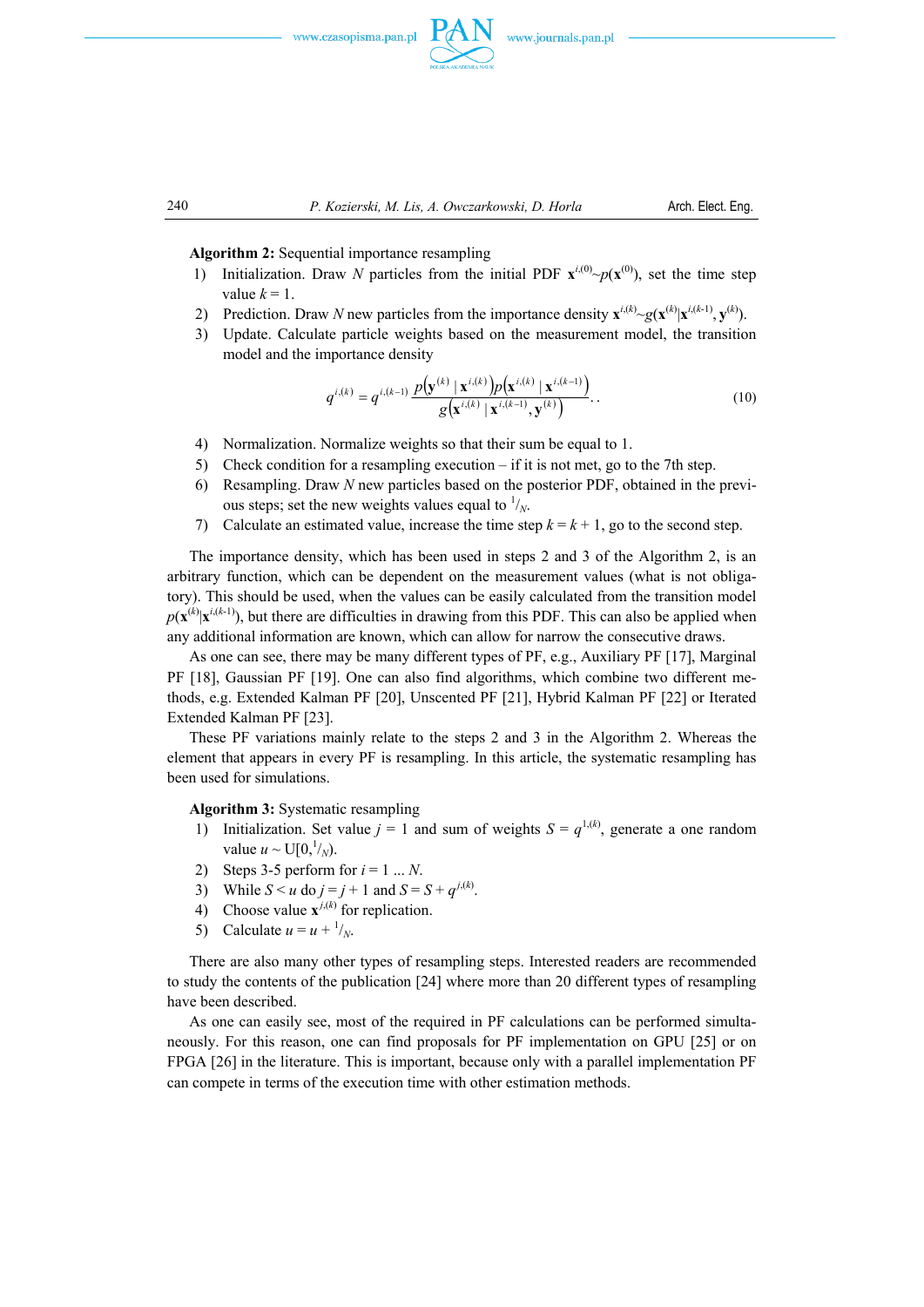



 **Algorithm 2:** Sequential importance resampling

- 1) Initialization. Draw *N* particles from the initial PDF  $\mathbf{x}^{i,(0)} \sim p(\mathbf{x}^{(0)})$ , set the time step value  $k = 1$ .
- 2) Prediction. Draw *N* new particles from the importance density  $\mathbf{x}^{i,(k)} \sim g(\mathbf{x}^{(k)} | \mathbf{x}^{i,(k-1)}, \mathbf{y}^{(k)})$ .
- 3) Update. Calculate particle weights based on the measurement model, the transition model and the importance density

$$
q^{i,(k)} = q^{i,(k-1)} \frac{p(\mathbf{y}^{(k)} | \mathbf{x}^{i,(k)}) p(\mathbf{x}^{i,(k)} | \mathbf{x}^{i,(k-1)})}{g(\mathbf{x}^{i,(k)} | \mathbf{x}^{i,(k-1)}, \mathbf{y}^{(k)})}.
$$
 (10)

- 4) Normalization. Normalize weights so that their sum be equal to 1.
- 5) Check condition for a resampling execution if it is not met, go to the 7th step.
- 6) Resampling. Draw *N* new particles based on the posterior PDF, obtained in the previous steps; set the new weights values equal to  $\frac{1}{N}$ .
- 7) Calculate an estimated value, increase the time step  $k = k + 1$ , go to the second step.

 The importance density, which has been used in steps 2 and 3 of the Algorithm 2, is an arbitrary function, which can be dependent on the measurement values (what is not obligatory). This should be used, when the values can be easily calculated from the transition model  $p(\mathbf{x}^{(k)}|\mathbf{x}^{i,(k-1)})$ , but there are difficulties in drawing from this PDF. This can also be applied when any additional information are known, which can allow for narrow the consecutive draws.

 As one can see, there may be many different types of PF, e.g., Auxiliary PF [17], Marginal PF [18], Gaussian PF [19]. One can also find algorithms, which combine two different methods, e.g. Extended Kalman PF [20], Unscented PF [21], Hybrid Kalman PF [22] or Iterated Extended Kalman PF [23].

 These PF variations mainly relate to the steps 2 and 3 in the Algorithm 2. Whereas the element that appears in every PF is resampling. In this article, the systematic resampling has been used for simulations.

 **Algorithm 3:** Systematic resampling

- 1) Initialization. Set value  $j = 1$  and sum of weights  $S = q^{1,(k)}$ , generate a one random value  $u \sim U[0, \frac{1}{N})$ .
- 2) Steps 3-5 perform for  $i = 1 ... N$ .
- 3) While  $S < u$  do  $j = j + 1$  and  $S = S + q^{j(k)}$ .
- 4) Choose value  $\mathbf{x}^{j,(k)}$  for replication.
- 5) Calculate  $u = u + \frac{1}{N}$ .

 There are also many other types of resampling steps. Interested readers are recommended to study the contents of the publication [24] where more than 20 different types of resampling have been described.

 As one can easily see, most of the required in PF calculations can be performed simultaneously. For this reason, one can find proposals for PF implementation on GPU [25] or on FPGA [26] in the literature. This is important, because only with a parallel implementation PF can compete in terms of the execution time with other estimation methods.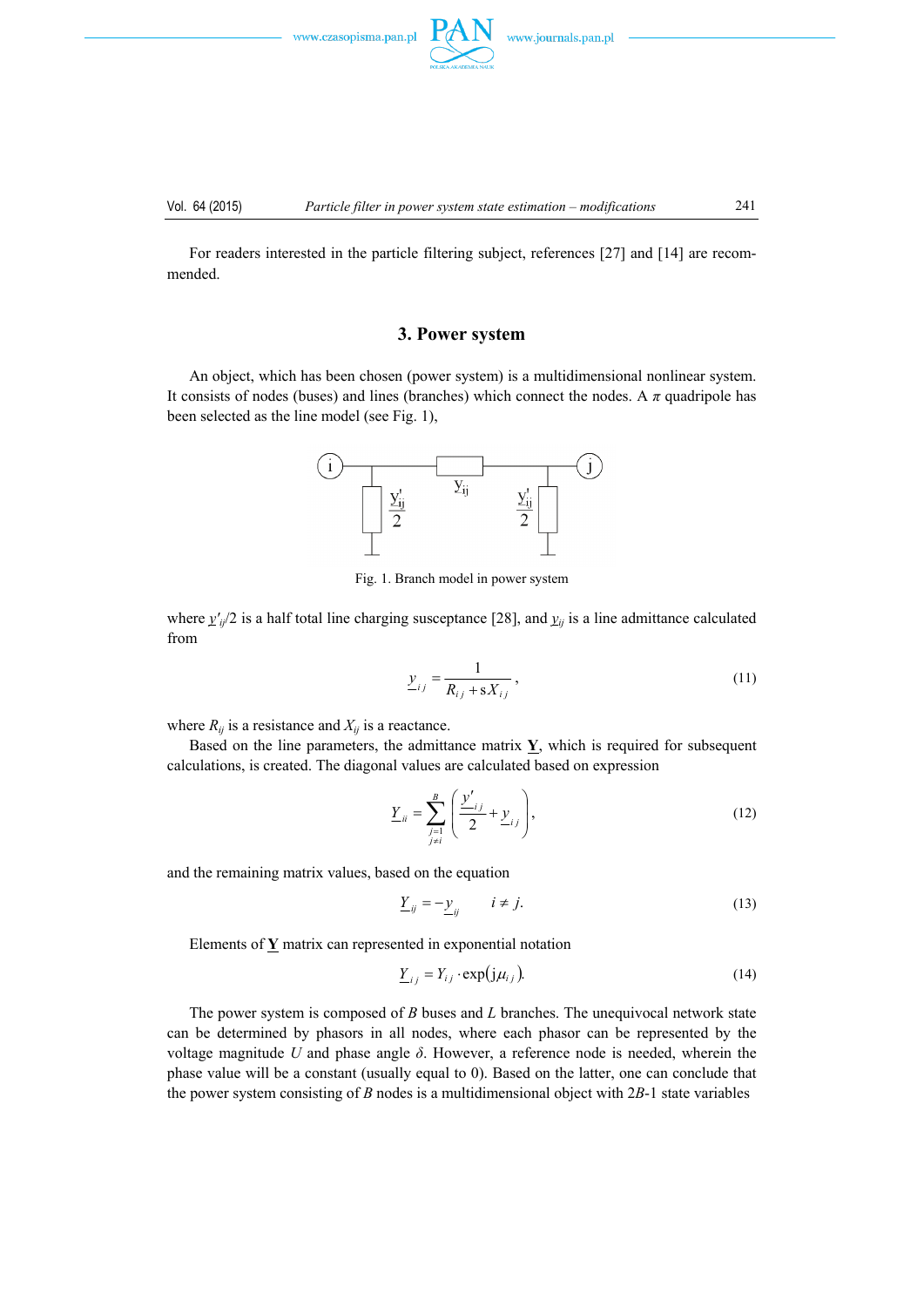

Vol. 64 (2015) *Particle filter in power system state estimation – modifications* 241

 For readers interested in the particle filtering subject, references [27] and [14] are recommended.

# **3. Power system**

 An object, which has been chosen (power system) is a multidimensional nonlinear system. It consists of nodes (buses) and lines (branches) which connect the nodes. A  $\pi$  quadripole has been selected as the line model (see Fig. 1),



Fig. 1. Branch model in power system

where  $y'_{ij}/2$  is a half total line charging susceptance [28], and  $y_{ij}$  is a line admittance calculated from

$$
\underline{y}_{ij} = \frac{1}{R_{ij} + sX_{ij}},
$$
\n(11)

where  $R_{ij}$  is a resistance and  $X_{ij}$  is a reactance.

Based on the line parameters, the admittance matrix  $\mathbf{Y}$ , which is required for subsequent calculations, is created. The diagonal values are calculated based on expression

$$
\underline{Y}_{ii} = \sum_{\substack{j=1 \ j \neq i}}^B \left( \frac{\underline{y'}_{ij}}{2} + \underline{y}_{ij} \right),\tag{12}
$$

and the remaining matrix values, based on the equation

$$
\underline{Y}_{ij} = -\underline{y}_{ij} \qquad i \neq j. \tag{13}
$$

Elements of **Y** matrix can represented in exponential notation

$$
\underline{Y}_{ij} = Y_{ij} \cdot \exp(j\mu_{ij}). \tag{14}
$$

 The power system is composed of *B* buses and *L* branches. The unequivocal network state can be determined by phasors in all nodes, where each phasor can be represented by the voltage magnitude *U* and phase angle *δ*. However, a reference node is needed, wherein the phase value will be a constant (usually equal to 0). Based on the latter, one can conclude that the power system consisting of *B* nodes is a multidimensional object with 2*B*-1 state variables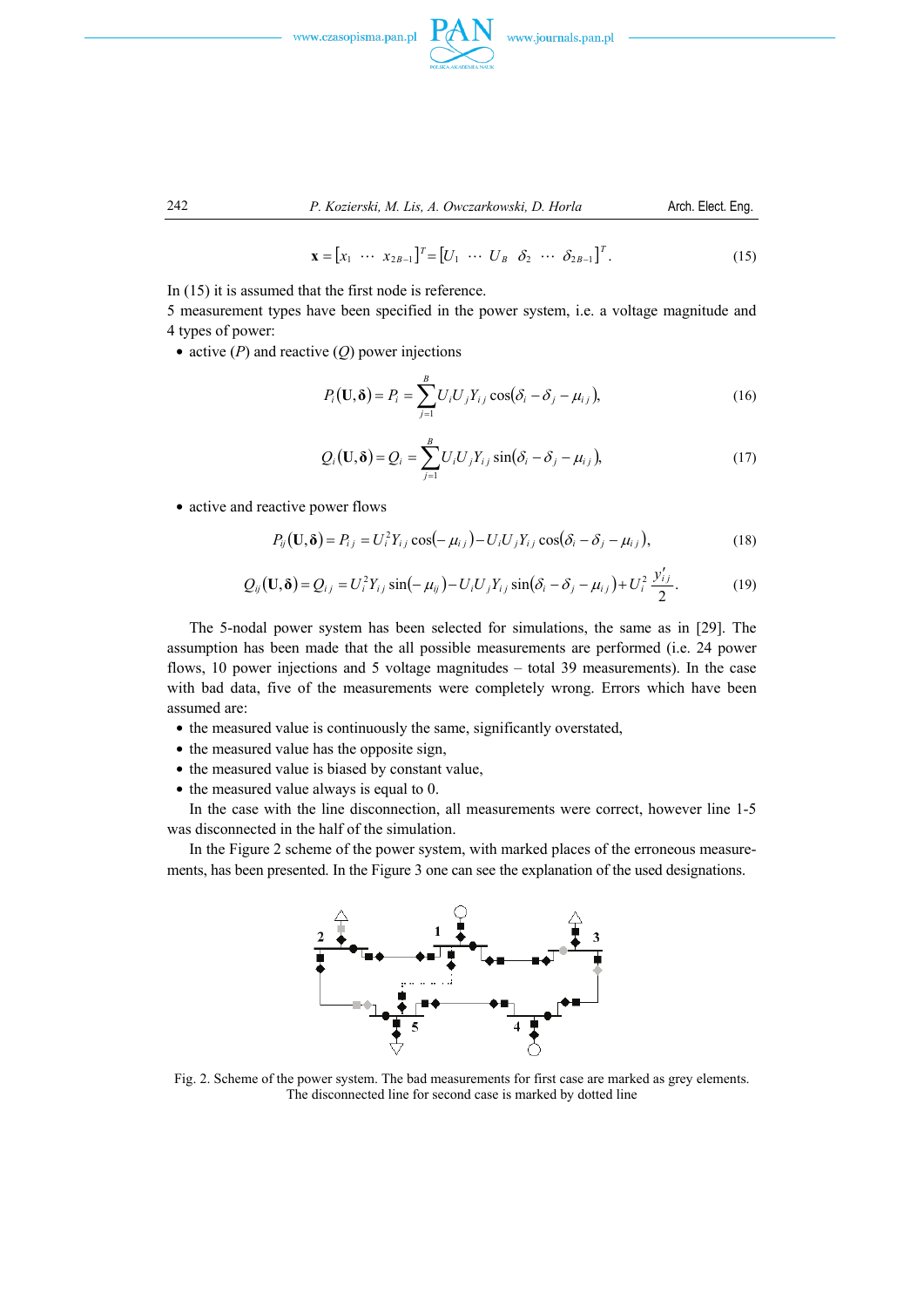



242 *P. Kozierski, M. Lis, A. Owczarkowski, D. Horla* Arch. Elect. Eng.

$$
\mathbf{x} = [x_1 \cdots x_{2B-1}]^T = [U_1 \cdots U_B \quad \delta_2 \cdots \delta_{2B-1}]^T. \tag{15}
$$

In (15) it is assumed that the first node is reference.

5 measurement types have been specified in the power system, i.e. a voltage magnitude and 4 types of power:

 $\bullet$  active (*P*) and reactive (*Q*) power injections

$$
P_i(\mathbf{U}, \delta) = P_i = \sum_{j=1}^{B} U_i U_j Y_{ij} \cos(\delta_i - \delta_j - \mu_{ij}),
$$
\n(16)

$$
Q_i(\mathbf{U},\boldsymbol{\delta}) = Q_i = \sum_{j=1}^B U_i U_j Y_{ij} \sin(\delta_i - \delta_j - \mu_{ij}),
$$
\n(17)

• active and reactive power flows

$$
P_{ij}(\mathbf{U}, \delta) = P_{ij} = U_i^2 Y_{ij} \cos(-\mu_{ij}) - U_i U_j Y_{ij} \cos(\delta_i - \delta_j - \mu_{ij}),
$$
(18)

$$
Q_{ij}(\mathbf{U},\boldsymbol{\delta})=Q_{ij}=U_i^2Y_{ij}\sin(-\mu_{ij})-U_iU_jY_{ij}\sin(\delta_i-\delta_j-\mu_{ij})+U_i^2\frac{y'_{ij}}{2}.
$$
 (19)

 The 5-nodal power system has been selected for simulations, the same as in [29]. The assumption has been made that the all possible measurements are performed (i.e. 24 power flows, 10 power injections and 5 voltage magnitudes – total 39 measurements). In the case with bad data, five of the measurements were completely wrong. Errors which have been assumed are:

- $\bullet$  the measured value is continuously the same, significantly overstated,
- the measured value has the opposite sign,
- the measured value is biased by constant value,
- $\bullet$  the measured value always is equal to 0.

 In the case with the line disconnection, all measurements were correct, however line 1-5 was disconnected in the half of the simulation.

 In the Figure 2 scheme of the power system, with marked places of the erroneous measurements, has been presented. In the Figure 3 one can see the explanation of the used designations.



Fig. 2. Scheme of the power system. The bad measurements for first case are marked as grey elements. The disconnected line for second case is marked by dotted line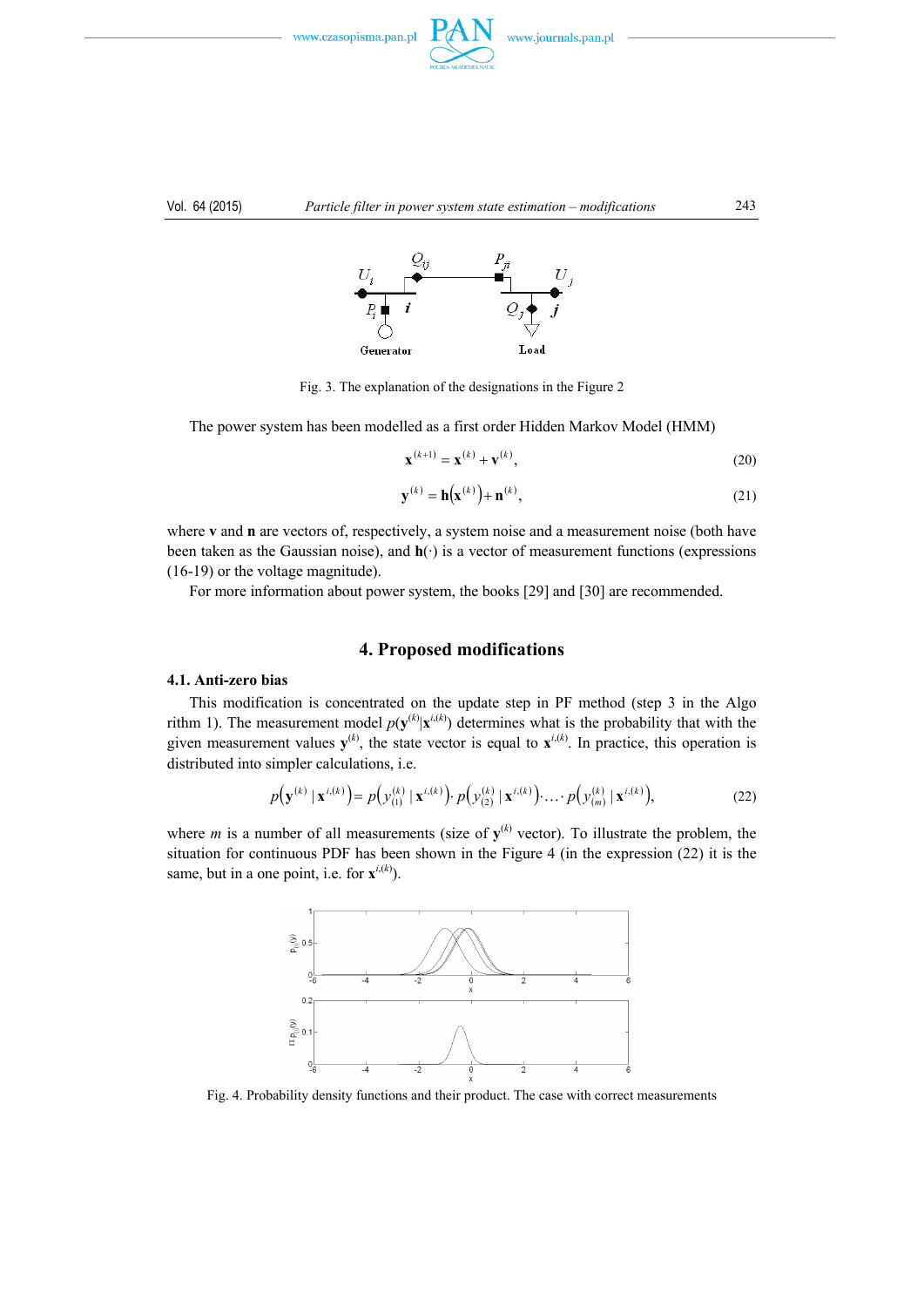



#### Vol. 64 (2015) *Particle filter in power system state estimation – modifications* 243



Fig. 3. The explanation of the designations in the Figure 2

The power system has been modelled as a first order Hidden Markov Model (HMM)

$$
\mathbf{x}^{(k+1)} = \mathbf{x}^{(k)} + \mathbf{v}^{(k)},
$$
\n(20)

$$
\mathbf{y}^{(k)} = \mathbf{h}(\mathbf{x}^{(k)}) + \mathbf{n}^{(k)},\tag{21}
$$

where **v** and **n** are vectors of, respectively, a system noise and a measurement noise (both have been taken as the Gaussian noise), and **h**(·) is a vector of measurement functions (expressions (16-19) or the voltage magnitude).

For more information about power system, the books [29] and [30] are recommended.

## **4. Proposed modifications**

# **4.1. Anti-zero bias**

 This modification is concentrated on the update step in PF method (step 3 in the Algo rithm 1). The measurement model  $p(y^{(k)} | x^{i(k)})$  determines what is the probability that with the given measurement values  $y^{(k)}$ , the state vector is equal to  $x^{i,(k)}$ . In practice, this operation is distributed into simpler calculations, i.e.

$$
p(\mathbf{y}^{(k)} | \mathbf{x}^{i,(k)}) = p(\mathbf{y}_{(1)}^{(k)} | \mathbf{x}^{i,(k)}) \cdot p(\mathbf{y}_{(2)}^{(k)} | \mathbf{x}^{i,(k)}) \cdot \ldots \cdot p(\mathbf{y}_{(m)}^{(k)} | \mathbf{x}^{i,(k)}), \tag{22}
$$

where *m* is a number of all measurements (size of  $y^{(k)}$  vector). To illustrate the problem, the situation for continuous PDF has been shown in the Figure 4 (in the expression  $(22)$ ) it is the same, but in a one point, i.e. for  $\mathbf{x}^{i,(k)}$ ).



Fig. 4. Probability density functions and their product. The case with correct measurements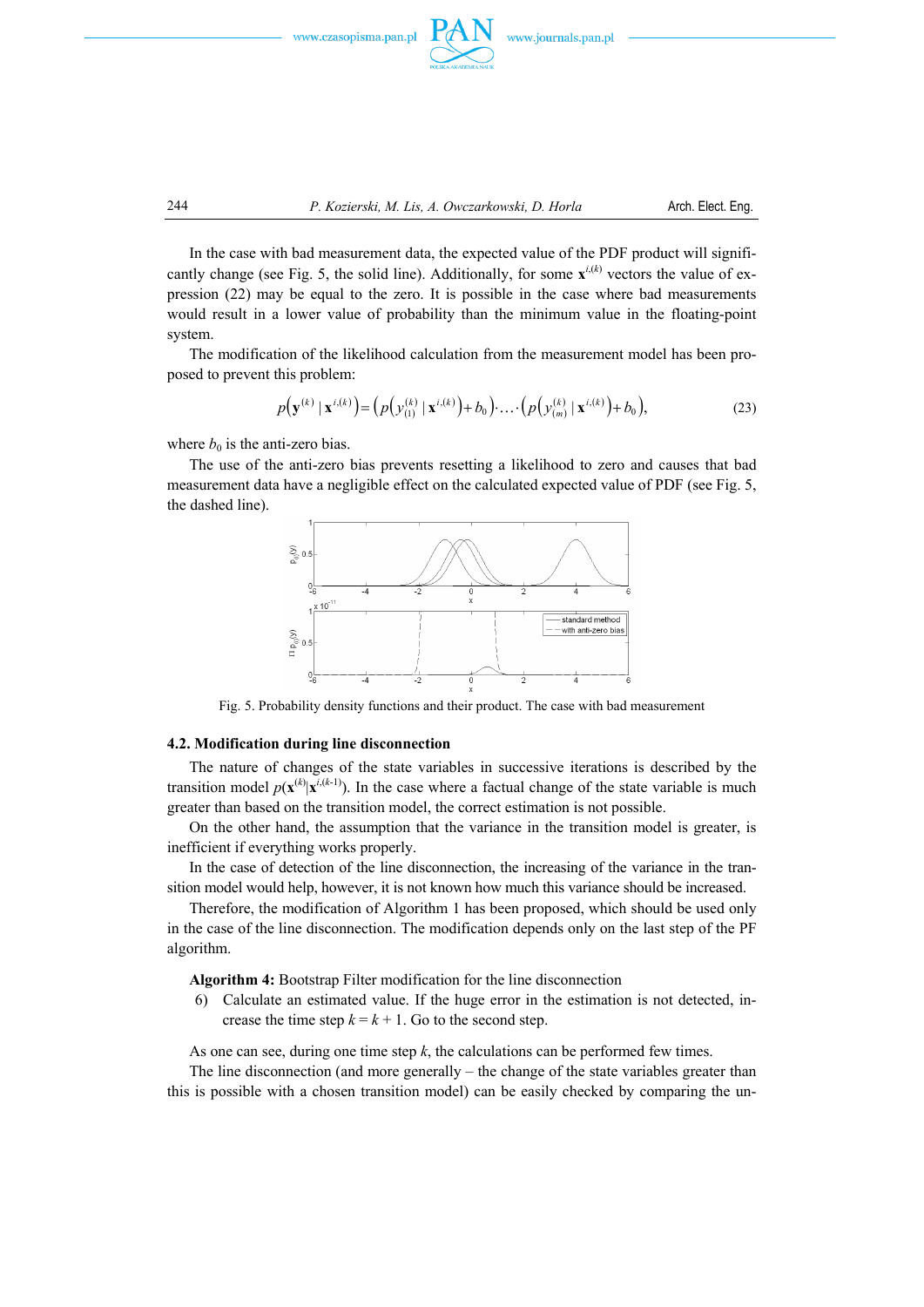



 In the case with bad measurement data, the expected value of the PDF product will significantly change (see Fig. 5, the solid line). Additionally, for some  $\mathbf{x}^{i,(k)}$  vectors the value of expression (22) may be equal to the zero. It is possible in the case where bad measurements would result in a lower value of probability than the minimum value in the floating-point system.

 The modification of the likelihood calculation from the measurement model has been proposed to prevent this problem:

$$
p(\mathbf{y}^{(k)} | \mathbf{x}^{i,(k)}) = (p(\mathbf{y}_{(1)}^{(k)} | \mathbf{x}^{i,(k)}) + b_0) \cdot \ldots \cdot (p(\mathbf{y}_{(m)}^{(k)} | \mathbf{x}^{i,(k)}) + b_0),
$$
\n(23)

where  $b_0$  is the anti-zero bias.

 The use of the anti-zero bias prevents resetting a likelihood to zero and causes that bad measurement data have a negligible effect on the calculated expected value of PDF (see Fig. 5, the dashed line).



Fig. 5. Probability density functions and their product. The case with bad measurement

#### **4.2. Modification during line disconnection**

 The nature of changes of the state variables in successive iterations is described by the transition model  $p(\mathbf{x}^{(k)}|\mathbf{x}^{i,(k-1)})$ . In the case where a factual change of the state variable is much greater than based on the transition model, the correct estimation is not possible.

 On the other hand, the assumption that the variance in the transition model is greater, is inefficient if everything works properly.

 In the case of detection of the line disconnection, the increasing of the variance in the transition model would help, however, it is not known how much this variance should be increased.

 Therefore, the modification of Algorithm 1 has been proposed, which should be used only in the case of the line disconnection. The modification depends only on the last step of the PF algorithm.

 **Algorithm 4:** Bootstrap Filter modification for the line disconnection

6) Calculate an estimated value. If the huge error in the estimation is not detected, increase the time step  $k = k + 1$ . Go to the second step.

As one can see, during one time step *k*, the calculations can be performed few times.

 The line disconnection (and more generally – the change of the state variables greater than this is possible with a chosen transition model) can be easily checked by comparing the un-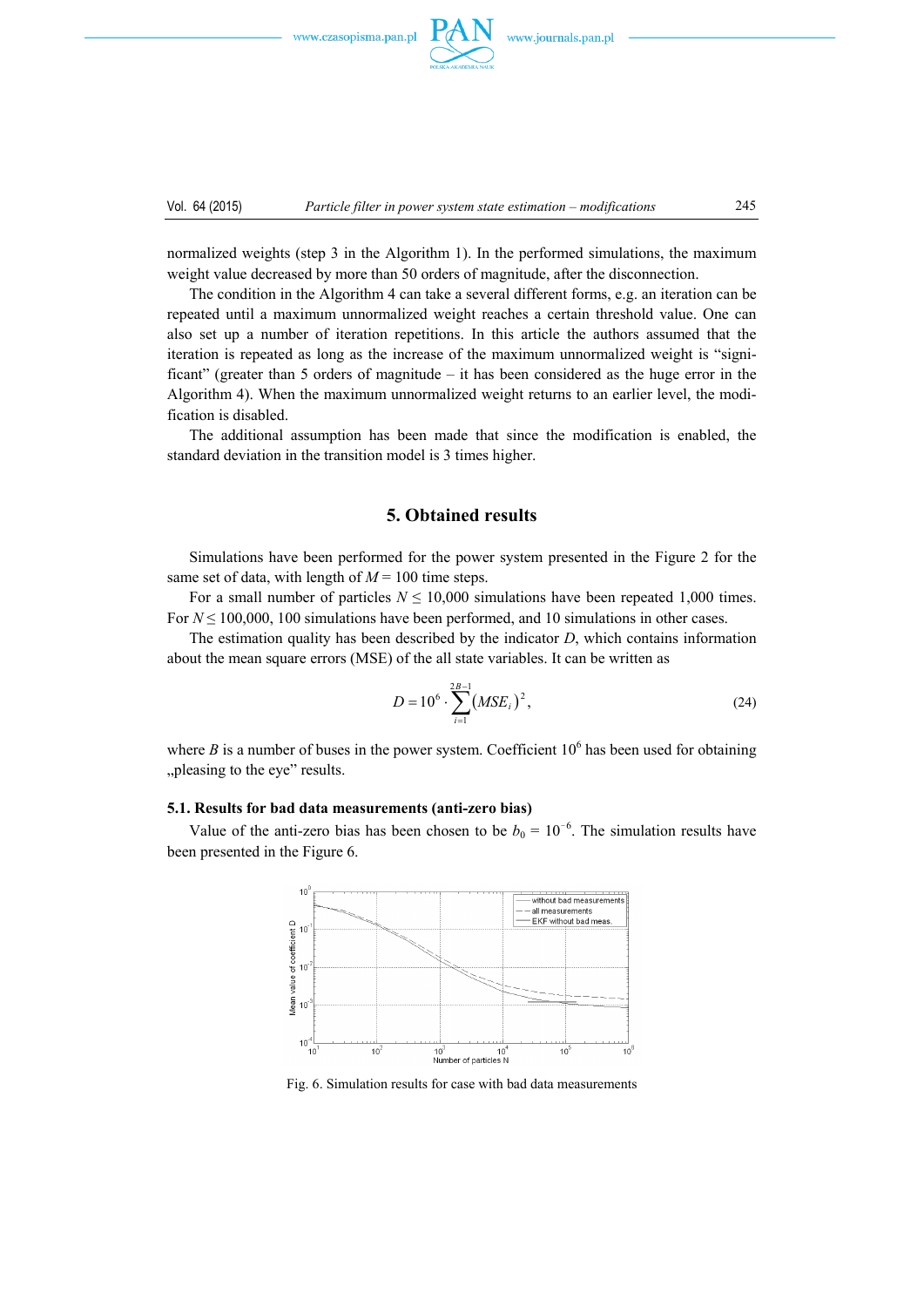

normalized weights (step 3 in the Algorithm 1). In the performed simulations, the maximum weight value decreased by more than 50 orders of magnitude, after the disconnection.

 The condition in the Algorithm 4 can take a several different forms, e.g. an iteration can be repeated until a maximum unnormalized weight reaches a certain threshold value. One can also set up a number of iteration repetitions. In this article the authors assumed that the iteration is repeated as long as the increase of the maximum unnormalized weight is "significant" (greater than 5 orders of magnitude – it has been considered as the huge error in the Algorithm 4). When the maximum unnormalized weight returns to an earlier level, the modification is disabled.

 The additional assumption has been made that since the modification is enabled, the standard deviation in the transition model is 3 times higher.

# **5. Obtained results**

 Simulations have been performed for the power system presented in the Figure 2 for the same set of data, with length of  $M = 100$  time steps.

For a small number of particles  $N \le 10,000$  simulations have been repeated 1,000 times. For  $N \le 100,000$ , 100 simulations have been performed, and 10 simulations in other cases.

 The estimation quality has been described by the indicator *D*, which contains information about the mean square errors (MSE) of the all state variables. It can be written as

$$
D = 10^6 \cdot \sum_{i=1}^{2B-1} (MSE_i)^2, \tag{24}
$$

where  $B$  is a number of buses in the power system. Coefficient  $10<sup>6</sup>$  has been used for obtaining "pleasing to the eye" results.

#### **5.1. Results for bad data measurements (anti-zero bias)**

Value of the anti-zero bias has been chosen to be  $b_0 = 10^{-6}$ . The simulation results have been presented in the Figure 6.



Fig. 6. Simulation results for case with bad data measurements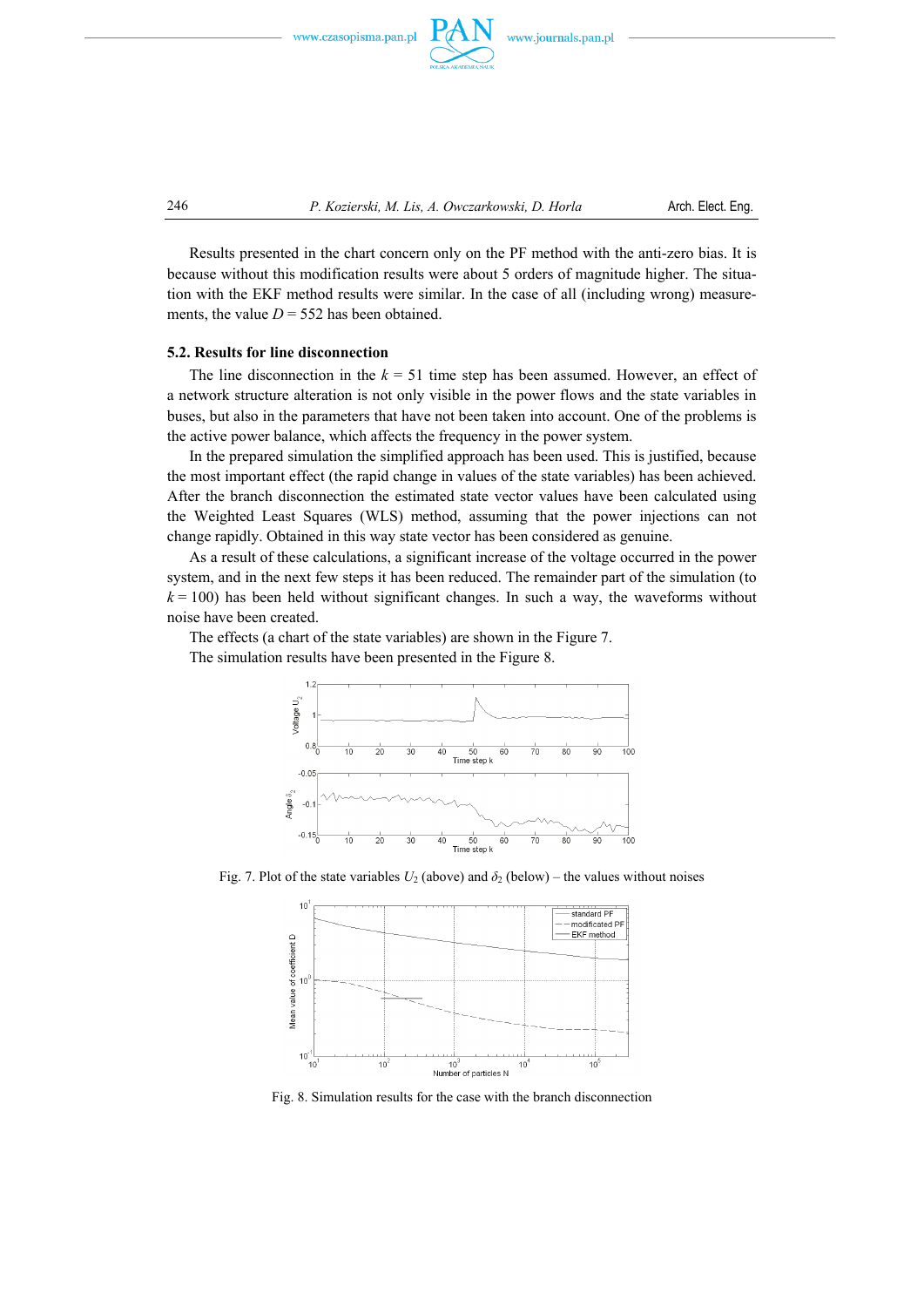



246 *P. Kozierski, M. Lis, A. Owczarkowski, D. Horla* Arch. Elect. Eng.

 Results presented in the chart concern only on the PF method with the anti-zero bias. It is because without this modification results were about 5 orders of magnitude higher. The situation with the EKF method results were similar. In the case of all (including wrong) measurements, the value  $D = 552$  has been obtained.

## **5.2. Results for line disconnection**

The line disconnection in the  $k = 51$  time step has been assumed. However, an effect of a network structure alteration is not only visible in the power flows and the state variables in buses, but also in the parameters that have not been taken into account. One of the problems is the active power balance, which affects the frequency in the power system.

 In the prepared simulation the simplified approach has been used. This is justified, because the most important effect (the rapid change in values of the state variables) has been achieved. After the branch disconnection the estimated state vector values have been calculated using the Weighted Least Squares (WLS) method, assuming that the power injections can not change rapidly. Obtained in this way state vector has been considered as genuine.

 As a result of these calculations, a significant increase of the voltage occurred in the power system, and in the next few steps it has been reduced. The remainder part of the simulation (to  $k = 100$ ) has been held without significant changes. In such a way, the waveforms without noise have been created.

The effects (a chart of the state variables) are shown in the Figure 7.

The simulation results have been presented in the Figure 8.



Fig. 7. Plot of the state variables  $U_2$  (above) and  $\delta_2$  (below) – the values without noises



Fig. 8. Simulation results for the case with the branch disconnection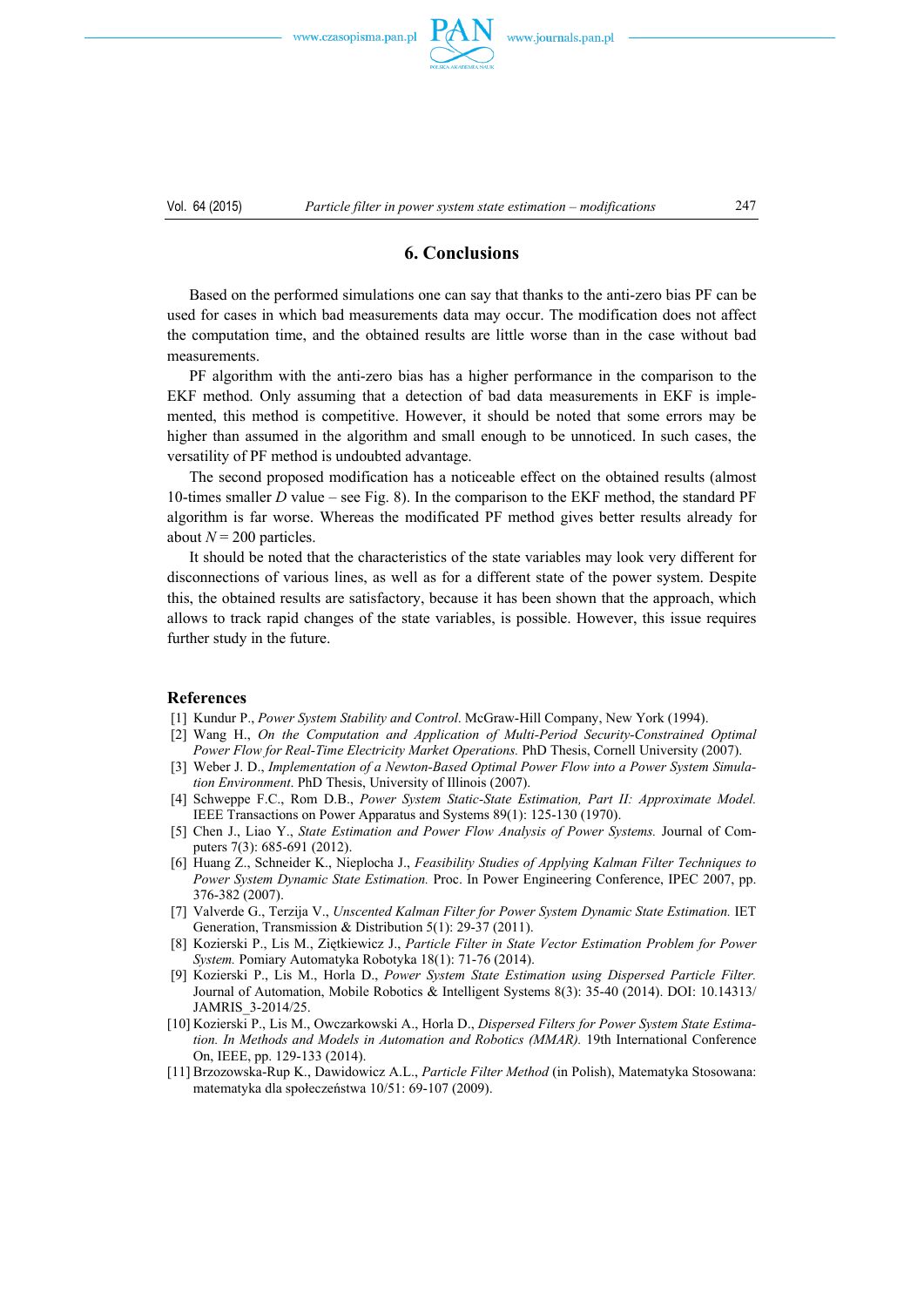

# **6. Conclusions**

 Based on the performed simulations one can say that thanks to the anti-zero bias PF can be used for cases in which bad measurements data may occur. The modification does not affect the computation time, and the obtained results are little worse than in the case without bad measurements.

 PF algorithm with the anti-zero bias has a higher performance in the comparison to the EKF method. Only assuming that a detection of bad data measurements in EKF is implemented, this method is competitive. However, it should be noted that some errors may be higher than assumed in the algorithm and small enough to be unnoticed. In such cases, the versatility of PF method is undoubted advantage.

 The second proposed modification has a noticeable effect on the obtained results (almost 10-times smaller *D* value – see Fig. 8). In the comparison to the EKF method, the standard PF algorithm is far worse. Whereas the modificated PF method gives better results already for about  $N = 200$  particles.

 It should be noted that the characteristics of the state variables may look very different for disconnections of various lines, as well as for a different state of the power system. Despite this, the obtained results are satisfactory, because it has been shown that the approach, which allows to track rapid changes of the state variables, is possible. However, this issue requires further study in the future.

### **References**

- [1] Kundur P., *Power System Stability and Control*. McGraw-Hill Company, New York (1994).
- [2] Wang H., *On the Computation and Application of Multi-Period Security-Constrained Optimal Power Flow for Real-Time Electricity Market Operations.* PhD Thesis, Cornell University (2007).
- [3] Weber J. D., *Implementation of a Newton-Based Optimal Power Flow into a Power System Simulation Environment*. PhD Thesis, University of Illinois (2007).
- [4] Schweppe F.C., Rom D.B., *Power System Static-State Estimation, Part II: Approximate Model.* IEEE Transactions on Power Apparatus and Systems 89(1): 125-130 (1970).
- [5] Chen J., Liao Y., *State Estimation and Power Flow Analysis of Power Systems.* Journal of Computers 7(3): 685-691 (2012).
- [6] Huang Z., Schneider K., Nieplocha J., *Feasibility Studies of Applying Kalman Filter Techniques to Power System Dynamic State Estimation.* Proc. In Power Engineering Conference, IPEC 2007, pp. 376-382 (2007).
- [7] Valverde G., Terzija V., *Unscented Kalman Filter for Power System Dynamic State Estimation.* IET Generation, Transmission & Distribution 5(1): 29-37 (2011).
- [8] Kozierski P., Lis M., Ziętkiewicz J., *Particle Filter in State Vector Estimation Problem for Power System.* Pomiary Automatyka Robotyka 18(1): 71-76 (2014).
- [9] Kozierski P., Lis M., Horla D., *Power System State Estimation using Dispersed Particle Filter.*  Journal of Automation, Mobile Robotics & Intelligent Systems 8(3): 35-40 (2014). DOI: 10.14313/ JAMRIS\_3-2014/25.
- [10] Kozierski P., Lis M., Owczarkowski A., Horla D., *Dispersed Filters for Power System State Estimation. In Methods and Models in Automation and Robotics (MMAR).* 19th International Conference On, IEEE, pp. 129-133 (2014).
- [11] Brzozowska-Rup K., Dawidowicz A.L., *Particle Filter Method* (in Polish), Matematyka Stosowana: matematyka dla społeczeństwa 10/51: 69-107 (2009).